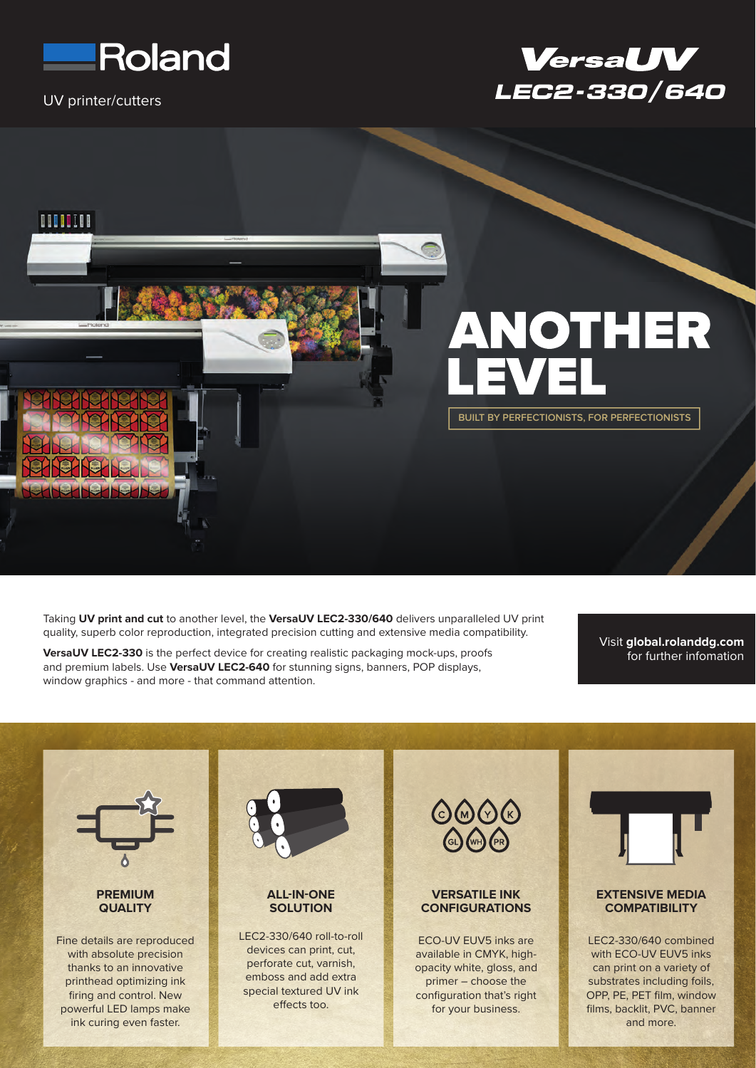

UV printer/cutters





Taking **UV print and cut** to another level, the **VersaUV LEC2-330/640** delivers unparalleled UV print quality, superb color reproduction, integrated precision cutting and extensive media compatibility.

**VersaUV LEC2-330** is the perfect device for creating realistic packaging mock-ups, proofs and premium labels. Use **VersaUV LEC2-640** for stunning signs, banners, POP displays, window graphics - and more - that command attention.

Visit **global.rolanddg.com**  for further infomation

 $\begin{array}{c}\n\bullet\circ\bullet\circ\circ \\
\bullet\circ\bullet\circ\n\end{array}$ **EXTENSIVE MEDIA PREMIUM ALL-IN-ONE VERSATILE INK CONFIGURATIONS QUALITY SOLUTION COMPATIBILITY** LEC2-330/640 roll-to-roll ECO-UV EUV5 inks are LEC2-330/640 combined Fine details are reproduced devices can print, cut, with absolute precision available in CMYK, highwith ECO-UV EUV5 inks perforate cut, varnish, thanks to an innovative opacity white, gloss, and can print on a variety of emboss and add extra printhead optimizing ink primer – choose the substrates including foils, special textured UV ink firing and control. New configuration that's right OPP, PE, PET film, window effects too. powerful LED lamps make for your business. films, backlit, PVC, banner ink curing even faster. and more.